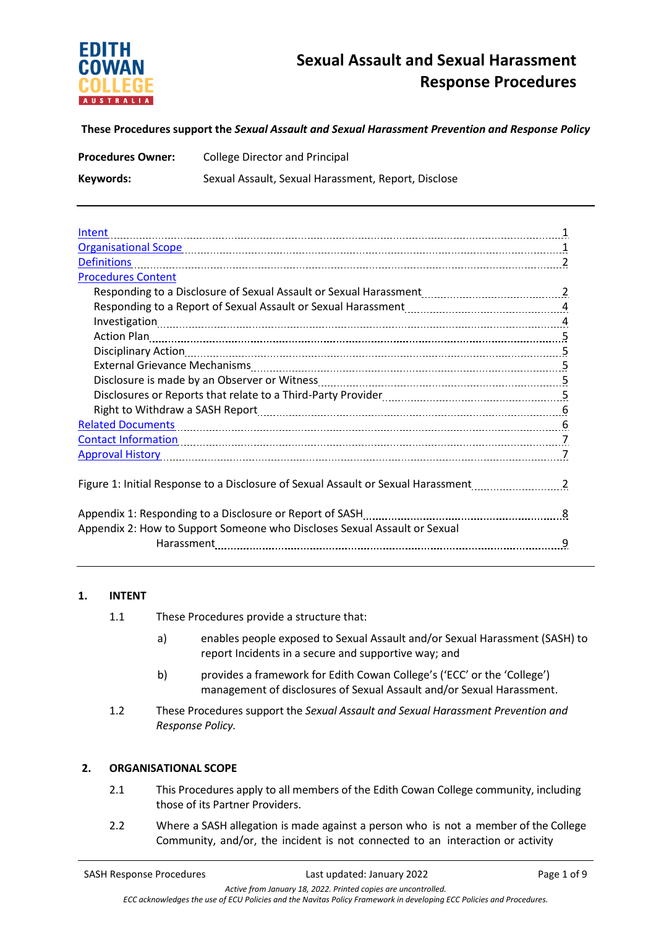

**These Procedures support the** *Sexual Assault and Sexual Harassment Prevention and Response Policy*

| <b>Procedures Owner:</b> | <b>College Director and Principal</b>               |
|--------------------------|-----------------------------------------------------|
| Keywords:                | Sexual Assault, Sexual Harassment, Report, Disclose |

| Intent                                                                                                                                                                                                                         |   |
|--------------------------------------------------------------------------------------------------------------------------------------------------------------------------------------------------------------------------------|---|
|                                                                                                                                                                                                                                |   |
| <b>Definitions</b>                                                                                                                                                                                                             |   |
| <b>Procedures Content</b>                                                                                                                                                                                                      |   |
|                                                                                                                                                                                                                                |   |
|                                                                                                                                                                                                                                |   |
|                                                                                                                                                                                                                                |   |
| Action Plan 2008 2014 10:00 000 2014 10:00 2016 10:00 2016 10:00 2016 10:00 2016 10:00 2016 10:00 2016 10:00 20                                                                                                                |   |
|                                                                                                                                                                                                                                |   |
|                                                                                                                                                                                                                                |   |
| Disclosure is made by an Observer or Witness [11] process [11] process and the Disclosure is made by an Observer or Witness [11] process and the Disclosure is not be paid to be paid that the Discover of Discover of Discove |   |
|                                                                                                                                                                                                                                |   |
| Right to Withdraw a SASH Report [11, 1201] Records and Right to Withdraw a SASH Report [11, 1201] Manusculing                                                                                                                  |   |
|                                                                                                                                                                                                                                |   |
|                                                                                                                                                                                                                                |   |
| <u>Approval History [7] Approval History</u>                                                                                                                                                                                   |   |
|                                                                                                                                                                                                                                |   |
| Figure 1: Initial Response to a Disclosure of Sexual Assault or Sexual Harassment                                                                                                                                              |   |
| Appendix 1: Responding to a Disclosure or Report of SASH<br>28. married material continuum materials.                                                                                                                          |   |
| Appendix 2: How to Support Someone who Discloses Sexual Assault or Sexual                                                                                                                                                      |   |
|                                                                                                                                                                                                                                | 9 |

## **1. INTENT**

- 1.1 These Procedures provide a structure that:
	- a) enables people exposed to Sexual Assault and/or Sexual Harassment (SASH) to report Incidents in a secure and supportive way; and
	- b) provides a framework for Edith Cowan College's ('ECC' or the 'College') management of disclosures of Sexual Assault and/or Sexual Harassment.
- 1.2 These Procedures support the *Sexual Assault and Sexual Harassment Prevention and Response Policy.*

#### **2. ORGANISATIONAL SCOPE**

- 2.1 This Procedures apply to all members of the Edith Cowan College community, including those of its Partner Providers.
- 2.2 Where a SASH allegation is made against a person who is not a member of the College Community, and/or, the incident is not connected to an interaction or activity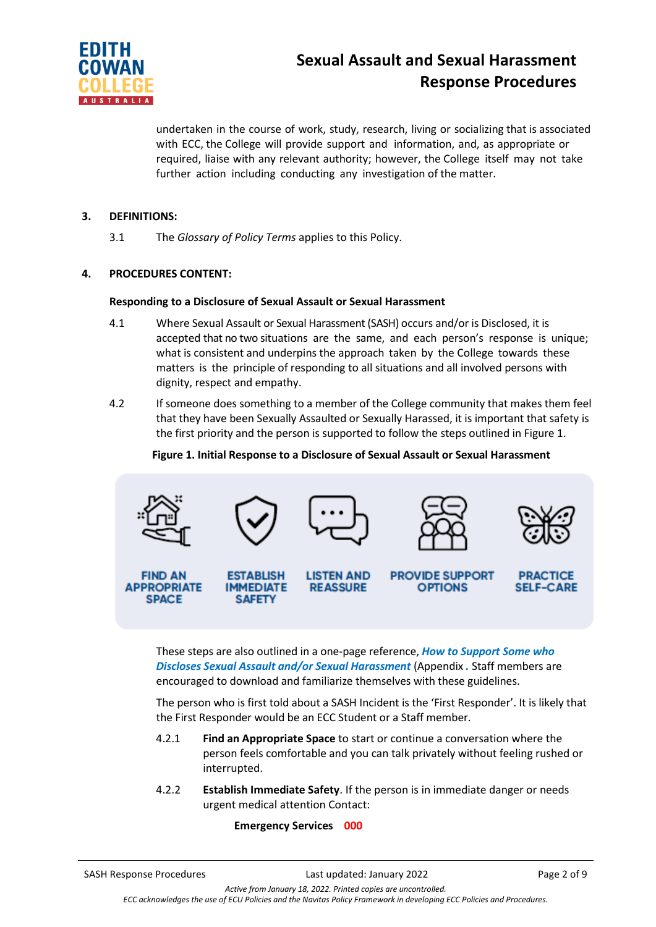

undertaken in the course of work, study, research, living or socializing that is associated with ECC, the College will provide support and information, and, as appropriate or required, liaise with any relevant authority; however, the College itself may not take further action including conducting any investigation of the matter.

## **3. DEFINITIONS:**

3.1 The *Glossary of Policy Terms* applies to this Policy.

## **4. PROCEDURES CONTENT:**

#### **Responding to a Disclosure of Sexual Assault or Sexual Harassment**

- 4.1 Where Sexual Assault or Sexual Harassment (SASH) occurs and/or is Disclosed, it is accepted that no two situations are the same, and each person's response is unique; what is consistent and underpins the approach taken by the College towards these matters is the principle of responding to all situations and all involved persons with dignity, respect and empathy.
- 4.2 If someone does something to a member of the College community that makes them feel that they have been Sexually Assaulted or Sexually Harassed, it is important that safety is the first priority and the person is supported to follow the steps outlined in Figure 1.

## **Figure 1. Initial Response to a Disclosure of Sexual Assault or Sexual Harassment**



These steps are also outlined in a one-page reference, *How to Support Some who Discloses Sexual Assault and/or Sexual Harassment* (Appendix *.* Staff members are encouraged to download and familiarize themselves with these guidelines.

The person who is first told about a SASH Incident is the 'First Responder'. It is likely that the First Responder would be an ECC Student or a Staff member.

- 4.2.1 **Find an Appropriate Space** to start or continue a conversation where the person feels comfortable and you can talk privately without feeling rushed or interrupted.
- 4.2.2 **Establish Immediate Safety**. If the person is in immediate danger or needs urgent medical attention Contact:

#### **Emergency Services 000**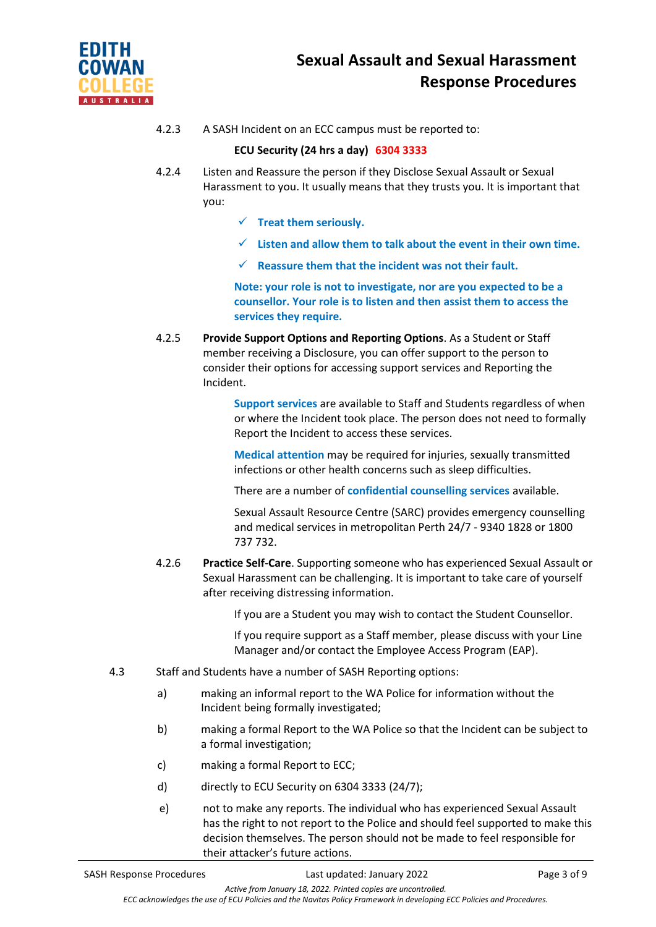

4.2.3 A SASH Incident on an ECC campus must be reported to:

# **ECU Security (24 hrs a day) 6304 3333**

- 4.2.4 Listen and Reassure the person if they Disclose Sexual Assault or Sexual Harassment to you. It usually means that they trusts you. It is important that you:
	- ✓ **Treat them seriously.**
	- ✓ **Listen and allow them to talk about the event in their own time.**
	- ✓ **Reassure them that the incident was not their fault.**

**Note: your role is not to investigate, nor are you expected to be a counsellor. Your role is to listen and then assist them to access the services they require.**

4.2.5 **Provide Support Options and Reporting Options**. As a Student or Staff member receiving a Disclosure, you can offer support to the person to consider their options for accessing support services and Reporting the Incident.

> **Support services** are available to Staff and Students regardless of when or where the Incident took place. The person does not need to formally Report the Incident to access these services.

**Medical attention** may be required for injuries, sexually transmitted infections or other health concerns such as sleep difficulties.

There are a number of **confidential counselling services** available.

Sexual Assault Resource Centre (SARC) provides emergency counselling and medical services in metropolitan Perth 24/7 - 9340 1828 or 1800 737 732.

4.2.6 **Practice Self-Care**. Supporting someone who has experienced Sexual Assault or Sexual Harassment can be challenging. It is important to take care of yourself after receiving distressing information.

If you are a Student you may wish to contact the Student Counsellor.

If you require support as a Staff member, please discuss with your Line Manager and/or contact the Employee Access Program (EAP).

- 4.3 Staff and Students have a number of SASH Reporting options:
	- a) making an informal report to the WA Police for information without the Incident being formally investigated;
	- b) making a formal Report to the WA Police so that the Incident can be subject to a formal investigation;
	- c) making a formal Report to ECC;
	- d) directly to ECU Security on 6304 3333 (24/7);
	- e) not to make any reports. The individual who has experienced Sexual Assault has the right to not report to the Police and should feel supported to make this decision themselves. The person should not be made to feel responsible for their attacker's future actions.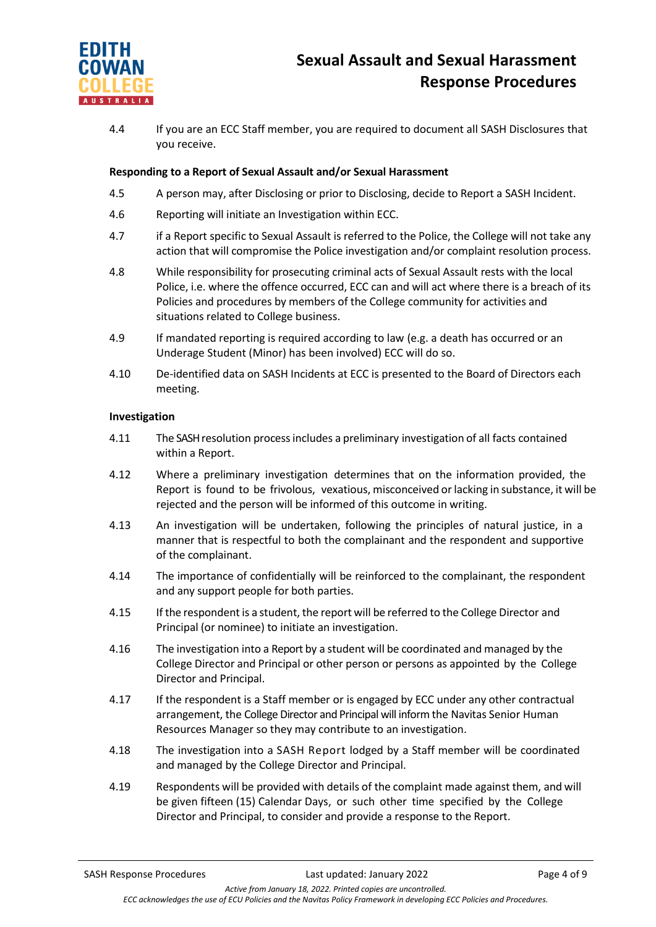

4.4 If you are an ECC Staff member, you are required to document all SASH Disclosures that you receive.

#### **Responding to a Report of Sexual Assault and/or Sexual Harassment**

- 4.5 A person may, after Disclosing or prior to Disclosing, decide to Report a SASH Incident.
- 4.6 Reporting will initiate an Investigation within ECC.
- 4.7 if a Report specific to Sexual Assault is referred to the Police, the College will not take any action that will compromise the Police investigation and/or complaint resolution process.
- 4.8 While responsibility for prosecuting criminal acts of Sexual Assault rests with the local Police, i.e. where the offence occurred, ECC can and will act where there is a breach of its Policies and procedures by members of the College community for activities and situations related to College business.
- 4.9 If mandated reporting is required according to law (e.g. a death has occurred or an Underage Student (Minor) has been involved) ECC will do so.
- 4.10 De-identified data on SASH Incidents at ECC is presented to the Board of Directors each meeting.

#### **Investigation**

- 4.11 The SASH resolution processincludes a preliminary investigation of all facts contained within a Report.
- 4.12 Where a preliminary investigation determines that on the information provided, the Report is found to be frivolous, vexatious, misconceived orlacking in substance, it will be rejected and the person will be informed of this outcome in writing.
- 4.13 An investigation will be undertaken, following the principles of natural justice, in a manner that is respectful to both the complainant and the respondent and supportive of the complainant.
- 4.14 The importance of confidentially will be reinforced to the complainant, the respondent and any support people for both parties.
- 4.15 If the respondent is a student, the report will be referred to the College Director and Principal (or nominee) to initiate an investigation.
- 4.16 The investigation into a Report by a student will be coordinated and managed by the College Director and Principal or other person or persons as appointed by the College Director and Principal.
- 4.17 If the respondent is a Staff member or is engaged by ECC under any other contractual arrangement, the College Director and Principal will inform the Navitas Senior Human Resources Manager so they may contribute to an investigation.
- 4.18 The investigation into a SASH Report lodged by a Staff member will be coordinated and managed by the College Director and Principal.
- 4.19 Respondents will be provided with details of the complaint made against them, and will be given fifteen (15) Calendar Days, or such other time specified by the College Director and Principal, to consider and provide a response to the Report.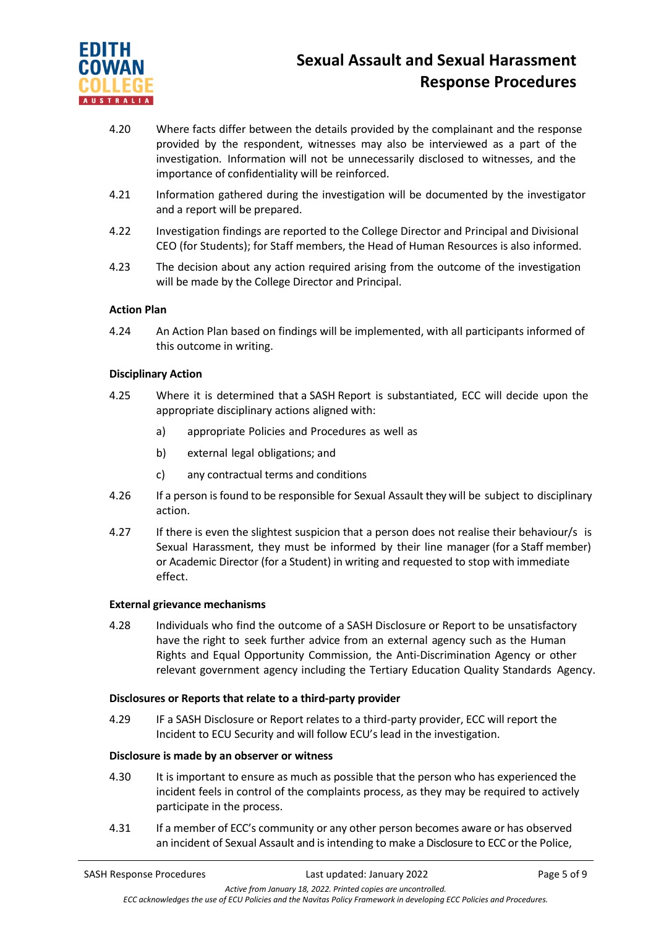

- 4.20 Where facts differ between the details provided by the complainant and the response provided by the respondent, witnesses may also be interviewed as a part of the investigation. Information will not be unnecessarily disclosed to witnesses, and the importance of confidentiality will be reinforced.
- 4.21 Information gathered during the investigation will be documented by the investigator and a report will be prepared.
- 4.22 Investigation findings are reported to the College Director and Principal and Divisional CEO (for Students); for Staff members, the Head of Human Resources is also informed.
- 4.23 The decision about any action required arising from the outcome of the investigation will be made by the College Director and Principal.

## **Action Plan**

4.24 An Action Plan based on findings will be implemented, with all participants informed of this outcome in writing.

#### **Disciplinary Action**

- 4.25 Where it is determined that a SASH Report is substantiated, ECC will decide upon the appropriate disciplinary actions aligned with:
	- a) appropriate Policies and Procedures as well as
	- b) external legal obligations; and
	- c) any contractual terms and conditions
- 4.26 If a person is found to be responsible for Sexual Assault they will be subject to disciplinary action.
- 4.27 If there is even the slightest suspicion that a person does not realise their behaviour/s is Sexual Harassment, they must be informed by their line manager (for a Staff member) or Academic Director (for a Student) in writing and requested to stop with immediate effect.

#### **External grievance mechanisms**

4.28 Individuals who find the outcome of a SASH Disclosure or Report to be unsatisfactory have the right to seek further advice from an external agency such as the Human Rights and Equal Opportunity Commission, the Anti-Discrimination Agency or other relevant government agency including the Tertiary Education Quality Standards Agency.

#### **Disclosures or Reports that relate to a third-party provider**

4.29 IF a SASH Disclosure or Report relates to a third-party provider, ECC will report the Incident to ECU Security and will follow ECU's lead in the investigation.

#### **Disclosure is made by an observer or witness**

- 4.30 It is important to ensure as much as possible that the person who has experienced the incident feels in control of the complaints process, as they may be required to actively participate in the process.
- 4.31 If a member of ECC's community or any other person becomes aware or has observed an incident of Sexual Assault and is intending to make a Disclosure to ECC or the Police,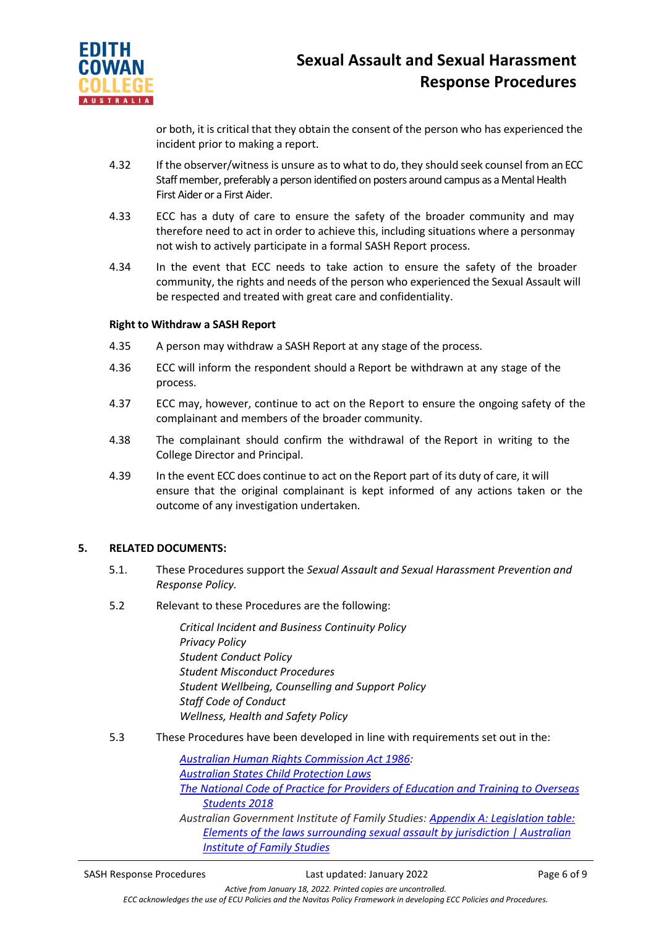

or both, it is critical that they obtain the consent of the person who has experienced the incident prior to making a report.

- 4.32 If the observer/witness is unsure as to what to do, they should seek counsel from an ECC Staff member, preferably a person identified on posters around campus as a Mental Health First Aider or a First Aider.
- 4.33 ECC has a duty of care to ensure the safety of the broader community and may therefore need to act in order to achieve this, including situations where a personmay not wish to actively participate in a formal SASH Report process.
- 4.34 In the event that ECC needs to take action to ensure the safety of the broader community, the rights and needs of the person who experienced the Sexual Assault will be respected and treated with great care and confidentiality.

#### **Right to Withdraw a SASH Report**

- 4.35 A person may withdraw a SASH Report at any stage of the process.
- 4.36 ECC will inform the respondent should a Report be withdrawn at any stage of the process.
- 4.37 ECC may, however, continue to act on the Report to ensure the ongoing safety of the complainant and members of the broader community.
- 4.38 The complainant should confirm the withdrawal of the Report in writing to the College Director and Principal.
- 4.39 In the event ECC does continue to act on the Report part of its duty of care, it will ensure that the original complainant is kept informed of any actions taken or the outcome of any investigation undertaken.

#### **5. RELATED DOCUMENTS:**

- 5.1. These Procedures support the *Sexual Assault and Sexual Harassment Prevention and Response Policy.*
- 5.2 Relevant to these Procedures are the following:

*Critical Incident and Business Continuity Policy Privacy Policy Student Conduct Policy Student Misconduct Procedures Student Wellbeing, Counselling and Support Policy Staff Code of Conduct Wellness, Health and Safety Policy*

5.3 These Procedures have been developed in line with requirements set out in the:

*[Australian Human Rights Commission Act 1986:](https://www.legislation.gov.au/Details/C2019C00030) [Australian States Child Protection Laws](https://aifs.gov.au/cfca/publications/australian-child-protection-legislation) [The National Code of Practice for Providers of Education and Training to Overseas](https://internationaleducation.gov.au/Regulatory-Information/Pages/National-)  [Students 2018](https://internationaleducation.gov.au/Regulatory-Information/Pages/National-) Australian Government Institute of Family Studies: [Appendix A: Legislation table:](file://///navitas.local/UPA/ECC/Policies/ECC%20Policy%20Working%20Group%202021/19.%20Bullying,%20Harassment%20and%20Discrimination/SASH/aifs.gov.au)  [Elements of the laws surrounding sexual assault](file://///navitas.local/UPA/ECC/Policies/ECC%20Policy%20Working%20Group%202021/19.%20Bullying,%20Harassment%20and%20Discrimination/SASH/aifs.gov.au) by jurisdiction | Australian [Institute of Family Studies](file://///navitas.local/UPA/ECC/Policies/ECC%20Policy%20Working%20Group%202021/19.%20Bullying,%20Harassment%20and%20Discrimination/SASH/aifs.gov.au)*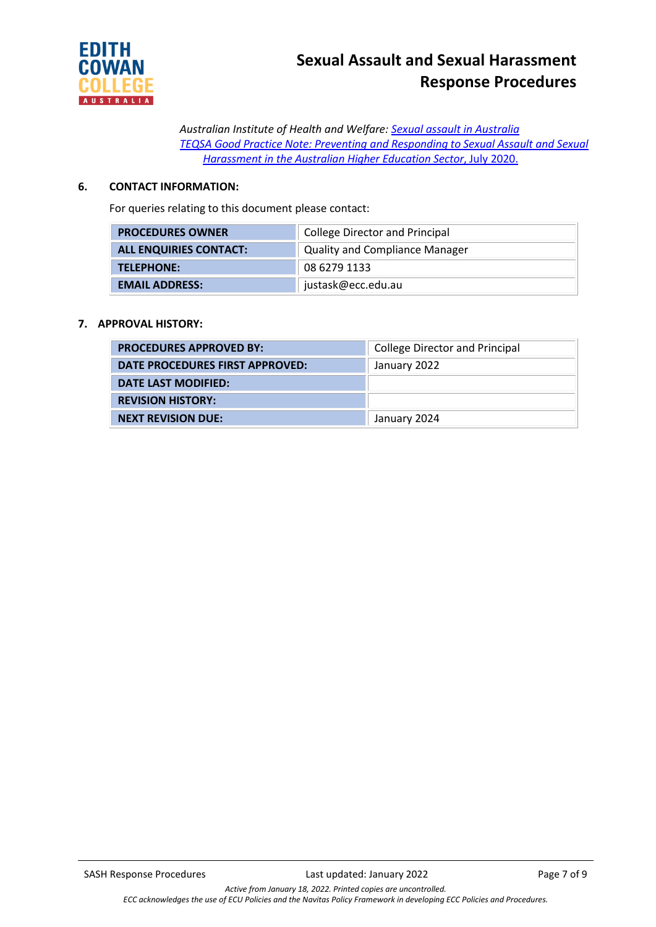

*Australian Institute of Health and Welfare: [Sexual assault in Australia](file://///navitas.local/UPA/ECC/Policies/ECC%20Policy%20Working%20Group%202021/19.%20Bullying,%20Harassment%20and%20Discrimination/SASH/aihw.gov.au) TEQSA Good Practice Note: Preventing and Responding to Sexual [Assault and](https://www.teqsa.gov.au/sites/default/files/good-practice-note-preventing-responding-sexual-assault-%20%20%20sexual_harassment.pdf?v=1594266369) Sexual [Harassment in](https://www.teqsa.gov.au/sites/default/files/good-practice-note-preventing-responding-sexual-assault-%20%20%20sexual_harassment.pdf?v=1594266369) the Australian Higher Education Sector*, July 2020.

# **6. CONTACT INFORMATION:**

For queries relating to this document please contact:

| <b>PROCEDURES OWNER</b>       | <b>College Director and Principal</b> |  |
|-------------------------------|---------------------------------------|--|
| <b>ALL ENQUIRIES CONTACT:</b> | <b>Quality and Compliance Manager</b> |  |
| TELEPHONE:                    | 08 6279 1133                          |  |
| <b>EMAIL ADDRESS:</b>         | justask@ecc.edu.au                    |  |

## **7. APPROVAL HISTORY:**

| <b>PROCEDURES APPROVED BY:</b>  | <b>College Director and Principal</b> |
|---------------------------------|---------------------------------------|
| DATE PROCEDURES FIRST APPROVED: | January 2022                          |
| DATE LAST MODIFIED:             |                                       |
| <b>REVISION HISTORY:</b>        |                                       |
| <b>NEXT REVISION DUE:</b>       | January 2024                          |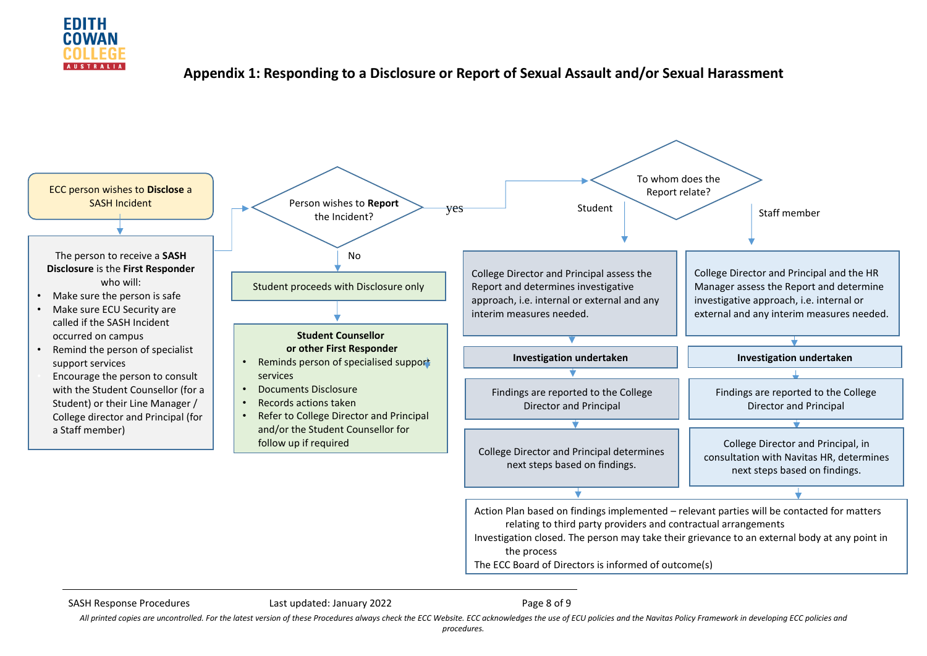

# **Appendix 1: Responding to a Disclosure or Report of Sexual Assault and/or Sexual Harassment**



SASH Response Procedures **Last updated: January 2022** Page 8 of 9

All printed copies are uncontrolled. For the latest version of these Procedures always check the ECC Website. ECC acknowledges the use of ECU policies and the Navitas Policy Framework in developing ECC policies and